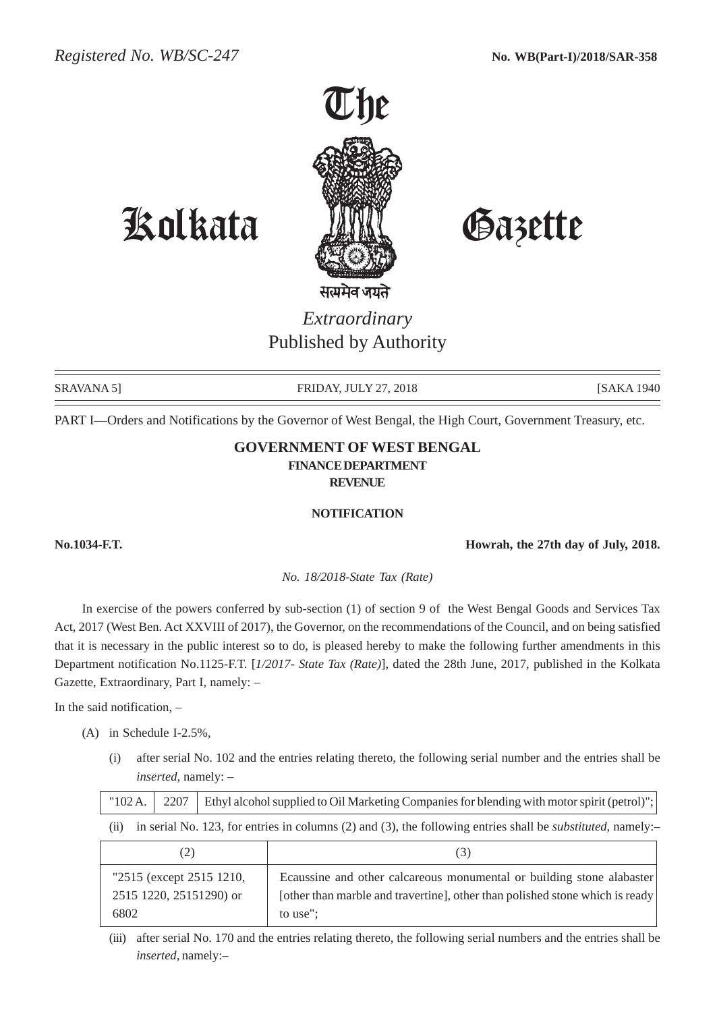

# Kolkata Gazette

*Extraordinary* Published by Authority

SRAVANA 5] FRIDAY, JULY 27, 2018 [SAKA 1940]

PART I—Orders and Notifications by the Governor of West Bengal, the High Court, Government Treasury, etc.

## **GOVERNMENT OF WEST BENGAL FINANCE DEPARTMENT REVENUE**

#### **NOTIFICATION**

**No.1034-F.T. Howrah, the 27th day of July, 2018.**

*No. 18/2018-State Tax (Rate)*

In exercise of the powers conferred by sub-section (1) of section 9 of the West Bengal Goods and Services Tax Act, 2017 (West Ben. Act XXVIII of 2017), the Governor, on the recommendations of the Council, and on being satisfied that it is necessary in the public interest so to do, is pleased hereby to make the following further amendments in this Department notification No.1125-F.T. [*1/2017- State Tax (Rate)*], dated the 28th June, 2017, published in the Kolkata Gazette, Extraordinary, Part I, namely: –

In the said notification, –

- (A) in Schedule I-2.5%,
	- (i) after serial No. 102 and the entries relating thereto, the following serial number and the entries shall be *inserted*, namely: –

| "102 A.                                                     | 2207                                                                                                                     |  | Ethyl alcohol supplied to Oil Marketing Companies for blending with motor spirit (petrol)";                                                                       |  |  |  |
|-------------------------------------------------------------|--------------------------------------------------------------------------------------------------------------------------|--|-------------------------------------------------------------------------------------------------------------------------------------------------------------------|--|--|--|
| (i)                                                         | in serial No. 123, for entries in columns $(2)$ and $(3)$ , the following entries shall be <i>substituted</i> , namely:- |  |                                                                                                                                                                   |  |  |  |
|                                                             | (3)                                                                                                                      |  |                                                                                                                                                                   |  |  |  |
| "2515 (except 2515 1210,<br>2515 1220, 25151290) or<br>6802 |                                                                                                                          |  | Ecaussine and other calcareous monumental or building stone alabaster<br>[other than marble and travertine], other than polished stone which is ready<br>to use"; |  |  |  |

(iii) after serial No. 170 and the entries relating thereto, the following serial numbers and the entries shall be *inserted*, namely:–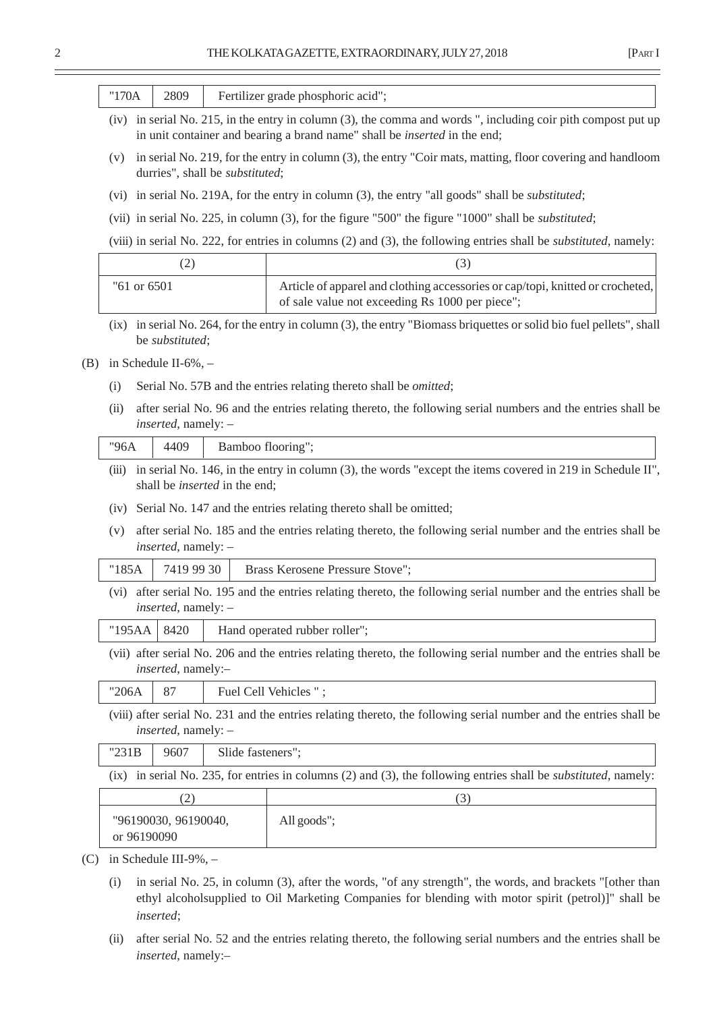|     |                                                                        |                             |                                      | THE KOLKATA GAZETTE, EXTRAORDINARY, JULY 27, 2018<br>[PART]                                                                                                                                       |  |
|-----|------------------------------------------------------------------------|-----------------------------|--------------------------------------|---------------------------------------------------------------------------------------------------------------------------------------------------------------------------------------------------|--|
|     | "170A                                                                  | 2809                        |                                      | Fertilizer grade phosphoric acid";                                                                                                                                                                |  |
|     |                                                                        |                             |                                      | (iv) in serial No. 215, in the entry in column (3), the comma and words ", including coir pith compost put up<br>in unit container and bearing a brand name" shall be <i>inserted</i> in the end; |  |
|     | (v)                                                                    |                             | durries", shall be substituted;      | in serial No. 219, for the entry in column (3), the entry "Coir mats, matting, floor covering and handloom                                                                                        |  |
|     |                                                                        |                             |                                      | (vi) in serial No. 219A, for the entry in column (3), the entry "all goods" shall be <i>substituted</i> ;                                                                                         |  |
|     |                                                                        |                             |                                      | (vii) in serial No. 225, in column (3), for the figure "500" the figure "1000" shall be <i>substituted</i> ;                                                                                      |  |
|     |                                                                        |                             |                                      | (viii) in serial No. 222, for entries in columns (2) and (3), the following entries shall be <i>substituted</i> , namely:                                                                         |  |
|     |                                                                        | (2)                         |                                      | (3)                                                                                                                                                                                               |  |
|     | "61 or 6501                                                            |                             |                                      | Article of apparel and clothing accessories or cap/topi, knitted or crocheted,<br>of sale value not exceeding Rs 1000 per piece";                                                                 |  |
|     |                                                                        | be substituted;             |                                      | (ix) in serial No. 264, for the entry in column (3), the entry "Biomass briquettes or solid bio fuel pellets", shall                                                                              |  |
| (B) |                                                                        | in Schedule II-6%, $-$      |                                      |                                                                                                                                                                                                   |  |
|     | (i)                                                                    |                             |                                      | Serial No. 57B and the entries relating thereto shall be <i>omitted</i> ;                                                                                                                         |  |
|     | (ii)                                                                   | <i>inserted</i> , namely: - |                                      | after serial No. 96 and the entries relating thereto, the following serial numbers and the entries shall be                                                                                       |  |
|     | "96A                                                                   | 4409                        |                                      | Bamboo flooring";                                                                                                                                                                                 |  |
|     | (iii)                                                                  |                             | shall be <i>inserted</i> in the end; | in serial No. 146, in the entry in column (3), the words "except the items covered in 219 in Schedule II",                                                                                        |  |
|     | (iv) Serial No. 147 and the entries relating thereto shall be omitted; |                             |                                      |                                                                                                                                                                                                   |  |
|     | (v)                                                                    | inserted, namely: -         |                                      | after serial No. 185 and the entries relating thereto, the following serial number and the entries shall be                                                                                       |  |
|     | "185A                                                                  | 7419 99 30                  |                                      | Brass Kerosene Pressure Stove";                                                                                                                                                                   |  |
|     |                                                                        | <i>inserted</i> , namely: - |                                      | (vi) after serial No. 195 and the entries relating thereto, the following serial number and the entries shall be                                                                                  |  |
|     | "195AA                                                                 | 8420                        |                                      | Hand operated rubber roller";                                                                                                                                                                     |  |
|     |                                                                        | inserted, namely:-          |                                      | (vii) after serial No. 206 and the entries relating thereto, the following serial number and the entries shall be                                                                                 |  |
|     | "206A                                                                  | 87                          |                                      | Fuel Cell Vehicles ";                                                                                                                                                                             |  |
|     |                                                                        | inserted, namely: -         |                                      | (viii) after serial No. 231 and the entries relating thereto, the following serial number and the entries shall be                                                                                |  |
|     | "231B                                                                  | 9607                        | Slide fasteners";                    |                                                                                                                                                                                                   |  |
|     |                                                                        |                             |                                      | $(ix)$ in serial No. 235, for entries in columns (2) and (3), the following entries shall be <i>substituted</i> , namely:                                                                         |  |
|     | (2)                                                                    |                             |                                      | (3)                                                                                                                                                                                               |  |
|     | or 96190090                                                            | "96190030, 96190040,        |                                      | All goods";                                                                                                                                                                                       |  |
| (C) |                                                                        | in Schedule III-9%, -       |                                      |                                                                                                                                                                                                   |  |

- (i) in serial No. 25, in column (3), after the words, "of any strength", the words, and brackets "[other than ethyl alcoholsupplied to Oil Marketing Companies for blending with motor spirit (petrol)]" shall be *inserted*;
- (ii) after serial No. 52 and the entries relating thereto, the following serial numbers and the entries shall be *inserted*, namely:–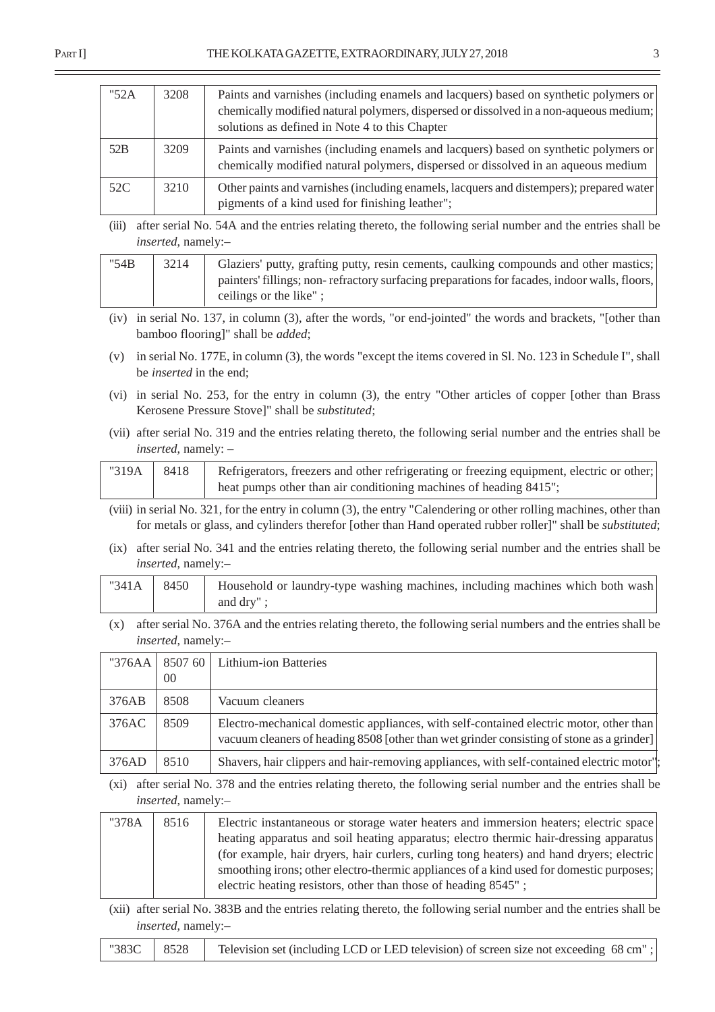| "52A | 3208 | Paints and varnishes (including enamels and lacquers) based on synthetic polymers or<br>chemically modified natural polymers, dispersed or dissolved in a non-aqueous medium;<br>solutions as defined in Note 4 to this Chapter |
|------|------|---------------------------------------------------------------------------------------------------------------------------------------------------------------------------------------------------------------------------------|
| 52B  | 3209 | Paints and varnishes (including enamels and lacquers) based on synthetic polymers or<br>chemically modified natural polymers, dispersed or dissolved in an aqueous medium                                                       |
| 52C  | 3210 | Other paints and varnishes (including enamels, lacquers and distempers); prepared water<br>pigments of a kind used for finishing leather";                                                                                      |

(iii) after serial No. 54A and the entries relating thereto, the following serial number and the entries shall be *inserted*, namely:–

| "54B | 3214 | Glaziers' putty, grafting putty, resin cements, caulking compounds and other mastics;        |
|------|------|----------------------------------------------------------------------------------------------|
|      |      | painters' fillings; non-refractory surfacing preparations for facades, indoor walls, floors, |
|      |      | ceilings or the like";                                                                       |

- (iv) in serial No. 137, in column (3), after the words, "or end-jointed" the words and brackets, "[other than bamboo flooring]" shall be *added*;
- (v) in serial No. 177E, in column (3), the words "except the items covered in Sl. No. 123 in Schedule I", shall be *inserted* in the end;
- (vi) in serial No. 253, for the entry in column (3), the entry "Other articles of copper [other than Brass Kerosene Pressure Stove]" shall be *substituted*;
- (vii) after serial No. 319 and the entries relating thereto, the following serial number and the entries shall be *inserted*, namely: –

| "319A   $8418$ | Refrigerators, freezers and other refrigerating or freezing equipment, electric or other; |
|----------------|-------------------------------------------------------------------------------------------|
|                | heat pumps other than air conditioning machines of heading 8415";                         |

- (viii) in serial No. 321, for the entry in column (3), the entry "Calendering or other rolling machines, other than for metals or glass, and cylinders therefor [other than Hand operated rubber roller]" shall be *substituted*;
- (ix) after serial No. 341 and the entries relating thereto, the following serial number and the entries shall be *inserted*, namely:–

|  | "341A   8450   Household or laundry-type washing machines, including machines which both wash |
|--|-----------------------------------------------------------------------------------------------|
|  | and dry";                                                                                     |

(x) after serial No. 376A and the entries relating thereto, the following serial numbers and the entries shall be *inserted*, namely:–

| "376AA |      | 8507 60   Lithium-ion Batteries                                                                                                                                                     |
|--------|------|-------------------------------------------------------------------------------------------------------------------------------------------------------------------------------------|
|        | 00   |                                                                                                                                                                                     |
| 376AB  | 8508 | Vacuum cleaners                                                                                                                                                                     |
| 376AC  | 8509 | Electro-mechanical domestic appliances, with self-contained electric motor, other than<br>vacuum cleaners of heading 8508 [other than wet grinder consisting of stone as a grinder] |
| 376AD  | 8510 | Shavers, hair clippers and hair-removing appliances, with self-contained electric motor",                                                                                           |

(xi) after serial No. 378 and the entries relating thereto, the following serial number and the entries shall be *inserted*, namely:–

| "378A | 8516 | Electric instantaneous or storage water heaters and immersion heaters; electric space    |
|-------|------|------------------------------------------------------------------------------------------|
|       |      | heating apparatus and soil heating apparatus; electro thermic hair-dressing apparatus    |
|       |      | (for example, hair dryers, hair curlers, curling tong heaters) and hand dryers; electric |
|       |      | smoothing irons; other electro-thermic appliances of a kind used for domestic purposes;  |
|       |      | electric heating resistors, other than those of heading 8545";                           |

(xii) after serial No. 383B and the entries relating thereto, the following serial number and the entries shall be *inserted*, namely:–

|  | $\mid$ "383C $\mid$ 8528 $\mid$ Television set (including LCD or LED television) of screen size not exceeding 68 cm"; |  |
|--|-----------------------------------------------------------------------------------------------------------------------|--|
|  |                                                                                                                       |  |